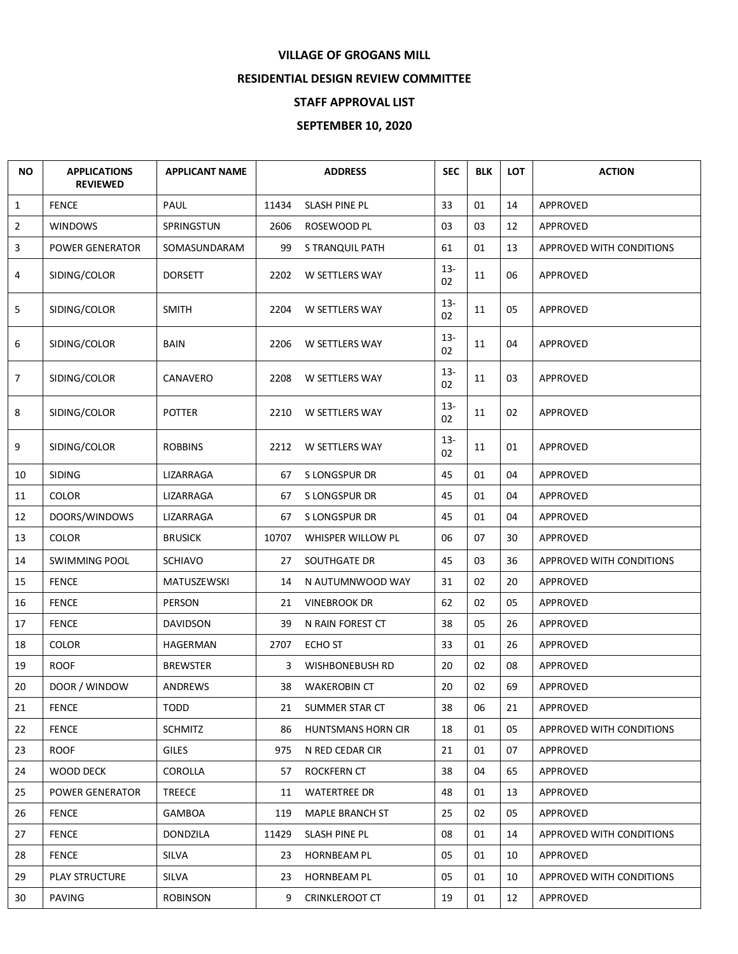## **VILLAGE OF GROGANS MILL**

## **RESIDENTIAL DESIGN REVIEW COMMITTEE**

## **STAFF APPROVAL LIST**

## **SEPTEMBER 10, 2020**

| <b>NO</b> | <b>APPLICATIONS</b><br><b>REVIEWED</b> | <b>APPLICANT NAME</b> |       | <b>ADDRESS</b>            | <b>SEC</b>   | <b>BLK</b> | <b>LOT</b> | <b>ACTION</b>                   |
|-----------|----------------------------------------|-----------------------|-------|---------------------------|--------------|------------|------------|---------------------------------|
| 1         | <b>FENCE</b>                           | PAUL                  | 11434 | SLASH PINE PL             | 33           | 01         | 14         | APPROVED                        |
| 2         | <b>WINDOWS</b>                         | SPRINGSTUN            | 2606  | ROSEWOOD PL               | 03           | 03         | 12         | APPROVED                        |
| 3         | <b>POWER GENERATOR</b>                 | SOMASUNDARAM          | 99    | S TRANQUIL PATH           | 61           | 01         | 13         | APPROVED WITH CONDITIONS        |
| 4         | SIDING/COLOR                           | <b>DORSETT</b>        | 2202  | W SETTLERS WAY            | $13 -$<br>02 | 11         | 06         | APPROVED                        |
| 5         | SIDING/COLOR                           | <b>SMITH</b>          | 2204  | W SETTLERS WAY            | $13 -$<br>02 | 11         | 05         | APPROVED                        |
| 6         | SIDING/COLOR                           | BAIN                  | 2206  | W SETTLERS WAY            | $13 -$<br>02 | 11         | 04         | APPROVED                        |
| 7         | SIDING/COLOR                           | CANAVERO              | 2208  | W SETTLERS WAY            | $13 -$<br>02 | 11         | 03         | APPROVED                        |
| 8         | SIDING/COLOR                           | <b>POTTER</b>         | 2210  | W SETTLERS WAY            | $13 -$<br>02 | 11         | 02         | APPROVED                        |
| 9         | SIDING/COLOR                           | <b>ROBBINS</b>        | 2212  | W SETTLERS WAY            | $13 -$<br>02 | 11         | 01         | APPROVED                        |
| 10        | <b>SIDING</b>                          | LIZARRAGA             | 67    | S LONGSPUR DR             | 45           | 01         | 04         | <b>APPROVED</b>                 |
| 11        | <b>COLOR</b>                           | LIZARRAGA             | 67    | S LONGSPUR DR             | 45           | 01         | 04         | <b>APPROVED</b>                 |
| 12        | DOORS/WINDOWS                          | LIZARRAGA             | 67    | S LONGSPUR DR             | 45           | 01         | 04         | APPROVED                        |
| 13        | <b>COLOR</b>                           | <b>BRUSICK</b>        | 10707 | WHISPER WILLOW PL         | 06           | 07         | 30         | APPROVED                        |
| 14        | <b>SWIMMING POOL</b>                   | <b>SCHIAVO</b>        | 27    | SOUTHGATE DR              | 45           | 03         | 36         | APPROVED WITH CONDITIONS        |
| 15        | <b>FENCE</b>                           | MATUSZEWSKI           | 14    | N AUTUMNWOOD WAY          | 31           | 02         | 20         | APPROVED                        |
| 16        | <b>FENCE</b>                           | PERSON                | 21    | <b>VINEBROOK DR</b>       | 62           | 02         | 05         | APPROVED                        |
| 17        | <b>FENCE</b>                           | <b>DAVIDSON</b>       | 39    | N RAIN FOREST CT          | 38           | 05         | 26         | APPROVED                        |
| 18        | <b>COLOR</b>                           | HAGERMAN              | 2707  | ECHO ST                   | 33           | 01         | 26         | APPROVED                        |
| 19        | <b>ROOF</b>                            | <b>BREWSTER</b>       | 3     | <b>WISHBONEBUSH RD</b>    | 20           | 02         | 08         | APPROVED                        |
| 20        | DOOR / WINDOW                          | ANDREWS               | 38    | <b>WAKEROBIN CT</b>       | 20           | 02         | 69         | APPROVED                        |
| 21        | <b>FENCE</b>                           | TODD                  | 21    | SUMMER STAR CT            | 38           | 06         | 21         | APPROVED                        |
| 22        | <b>FENCE</b>                           | <b>SCHMITZ</b>        | 86    | <b>HUNTSMANS HORN CIR</b> | 18           | 01         | 05         | APPROVED WITH CONDITIONS        |
| 23        | <b>ROOF</b>                            | <b>GILES</b>          | 975   | N RED CEDAR CIR           | 21           | 01         | 07         | APPROVED                        |
| 24        | WOOD DECK                              | <b>COROLLA</b>        | 57    | ROCKFERN CT               | 38           | 04         | 65         | <b>APPROVED</b>                 |
| 25        | POWER GENERATOR                        | <b>TREECE</b>         | 11    | <b>WATERTREE DR</b>       | 48           | 01         | 13         | APPROVED                        |
| 26        | <b>FENCE</b>                           | GAMBOA                | 119   | MAPLE BRANCH ST           | 25           | 02         | 05         | APPROVED                        |
| 27        | <b>FENCE</b>                           | DONDZILA              | 11429 | SLASH PINE PL             | 08           | 01         | 14         | <b>APPROVED WITH CONDITIONS</b> |
| 28        | <b>FENCE</b>                           | SILVA                 | 23    | <b>HORNBEAM PL</b>        | 05           | 01         | 10         | APPROVED                        |
| 29        | PLAY STRUCTURE                         | SILVA                 | 23    | <b>HORNBEAM PL</b>        | 05           | 01         | 10         | APPROVED WITH CONDITIONS        |
| 30        | <b>PAVING</b>                          | <b>ROBINSON</b>       | 9     | <b>CRINKLEROOT CT</b>     | 19           | 01         | 12         | APPROVED                        |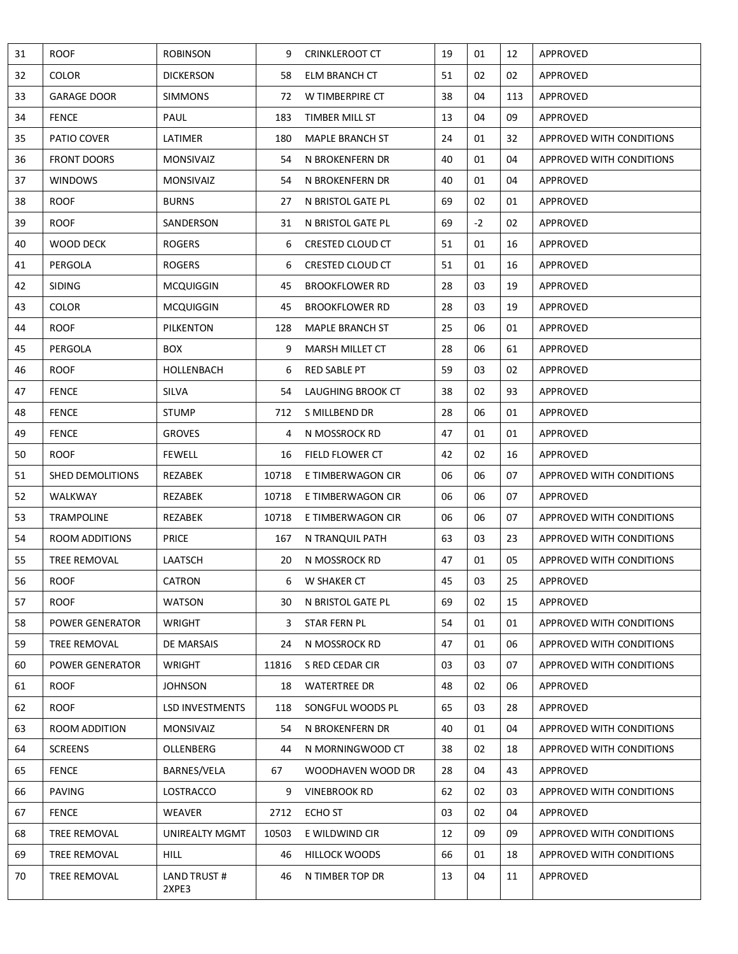| 31 | <b>ROOF</b>             | <b>ROBINSON</b>        | 9     | <b>CRINKLEROOT CT</b>  | 19 | 01   | 12  | APPROVED                        |
|----|-------------------------|------------------------|-------|------------------------|----|------|-----|---------------------------------|
| 32 | <b>COLOR</b>            | <b>DICKERSON</b>       | 58    | ELM BRANCH CT          | 51 | 02   | 02  | APPROVED                        |
| 33 | <b>GARAGE DOOR</b>      | <b>SIMMONS</b>         | 72    | W TIMBERPIRE CT        | 38 | 04   | 113 | APPROVED                        |
| 34 | <b>FENCE</b>            | PAUL                   | 183   | TIMBER MILL ST         | 13 | 04   | 09  | APPROVED                        |
| 35 | PATIO COVER             | LATIMER                | 180   | <b>MAPLE BRANCH ST</b> | 24 | 01   | 32  | APPROVED WITH CONDITIONS        |
| 36 | <b>FRONT DOORS</b>      | <b>MONSIVAIZ</b>       | 54    | N BROKENFERN DR        | 40 | 01   | 04  | APPROVED WITH CONDITIONS        |
| 37 | <b>WINDOWS</b>          | <b>MONSIVAIZ</b>       | 54    | N BROKENFERN DR        | 40 | 01   | 04  | APPROVED                        |
| 38 | <b>ROOF</b>             | <b>BURNS</b>           | 27    | N BRISTOL GATE PL      | 69 | 02   | 01  | APPROVED                        |
| 39 | <b>ROOF</b>             | SANDERSON              | 31    | N BRISTOL GATE PL      | 69 | $-2$ | 02  | APPROVED                        |
| 40 | WOOD DECK               | <b>ROGERS</b>          | 6     | CRESTED CLOUD CT       | 51 | 01   | 16  | APPROVED                        |
| 41 | PERGOLA                 | <b>ROGERS</b>          | 6     | CRESTED CLOUD CT       | 51 | 01   | 16  | APPROVED                        |
| 42 | <b>SIDING</b>           | <b>MCQUIGGIN</b>       | 45    | <b>BROOKFLOWER RD</b>  | 28 | 03   | 19  | APPROVED                        |
| 43 | <b>COLOR</b>            | <b>MCQUIGGIN</b>       | 45    | <b>BROOKFLOWER RD</b>  | 28 | 03   | 19  | APPROVED                        |
| 44 | <b>ROOF</b>             | PILKENTON              | 128   | MAPLE BRANCH ST        | 25 | 06   | 01  | APPROVED                        |
| 45 | PERGOLA                 | <b>BOX</b>             | 9     | <b>MARSH MILLET CT</b> | 28 | 06   | 61  | APPROVED                        |
| 46 | <b>ROOF</b>             | HOLLENBACH             | 6     | <b>RED SABLE PT</b>    | 59 | 03   | 02  | APPROVED                        |
| 47 | <b>FENCE</b>            | SILVA                  | 54    | LAUGHING BROOK CT      | 38 | 02   | 93  | APPROVED                        |
| 48 | <b>FENCE</b>            | <b>STUMP</b>           | 712   | S MILLBEND DR          | 28 | 06   | 01  | APPROVED                        |
| 49 | <b>FENCE</b>            | <b>GROVES</b>          | 4     | N MOSSROCK RD          | 47 | 01   | 01  | APPROVED                        |
| 50 | <b>ROOF</b>             | <b>FEWELL</b>          | 16    | FIELD FLOWER CT        | 42 | 02   | 16  | APPROVED                        |
| 51 | <b>SHED DEMOLITIONS</b> | REZABEK                | 10718 | E TIMBERWAGON CIR      | 06 | 06   | 07  | APPROVED WITH CONDITIONS        |
| 52 | WALKWAY                 | REZABEK                | 10718 | E TIMBERWAGON CIR      | 06 | 06   | 07  | APPROVED                        |
| 53 | <b>TRAMPOLINE</b>       | REZABEK                | 10718 | E TIMBERWAGON CIR      | 06 | 06   | 07  | APPROVED WITH CONDITIONS        |
| 54 | <b>ROOM ADDITIONS</b>   | PRICE                  | 167   | N TRANQUIL PATH        | 63 | 03   | 23  | APPROVED WITH CONDITIONS        |
| 55 | TREE REMOVAL            | <b>LAATSCH</b>         | 20    | N MOSSROCK RD          | 47 | 01   | 05  | APPROVED WITH CONDITIONS        |
| 56 | <b>ROOF</b>             | <b>CATRON</b>          | 6     | W SHAKER CT            | 45 | 03   | 25  | APPROVED                        |
| 57 | <b>ROOF</b>             | <b>WATSON</b>          | 30    | N BRISTOL GATE PL      | 69 | 02   | 15  | APPROVED                        |
| 58 | POWER GENERATOR         | <b>WRIGHT</b>          | 3     | STAR FERN PL           | 54 | 01   | 01  | APPROVED WITH CONDITIONS        |
| 59 | TREE REMOVAL            | DE MARSAIS             | 24    | N MOSSROCK RD          | 47 | 01   | 06  | APPROVED WITH CONDITIONS        |
| 60 | POWER GENERATOR         | <b>WRIGHT</b>          | 11816 | S RED CEDAR CIR        | 03 | 03   | 07  | APPROVED WITH CONDITIONS        |
| 61 | <b>ROOF</b>             | <b>JOHNSON</b>         | 18    | <b>WATERTREE DR</b>    | 48 | 02   | 06  | APPROVED                        |
| 62 | <b>ROOF</b>             | <b>LSD INVESTMENTS</b> | 118   | SONGFUL WOODS PL       | 65 | 03   | 28  | APPROVED                        |
| 63 | ROOM ADDITION           | <b>MONSIVAIZ</b>       | 54    | N BROKENFERN DR        | 40 | 01   | 04  | <b>APPROVED WITH CONDITIONS</b> |
| 64 | <b>SCREENS</b>          | OLLENBERG              | 44    | N MORNINGWOOD CT       | 38 | 02   | 18  | APPROVED WITH CONDITIONS        |
| 65 | <b>FENCE</b>            | BARNES/VELA            | 67    | WOODHAVEN WOOD DR      | 28 | 04   | 43  | APPROVED                        |
| 66 | <b>PAVING</b>           | LOSTRACCO              | 9     | <b>VINEBROOK RD</b>    | 62 | 02   | 03  | APPROVED WITH CONDITIONS        |
| 67 | <b>FENCE</b>            | <b>WEAVER</b>          | 2712  | ECHO ST                | 03 | 02   | 04  | APPROVED                        |
| 68 | TREE REMOVAL            | UNIREALTY MGMT         | 10503 | E WILDWIND CIR         | 12 | 09   | 09  | APPROVED WITH CONDITIONS        |
| 69 | TREE REMOVAL            | <b>HILL</b>            | 46    | <b>HILLOCK WOODS</b>   | 66 | 01   | 18  | APPROVED WITH CONDITIONS        |
| 70 | TREE REMOVAL            | LAND TRUST #<br>2XPE3  | 46    | N TIMBER TOP DR        | 13 | 04   | 11  | APPROVED                        |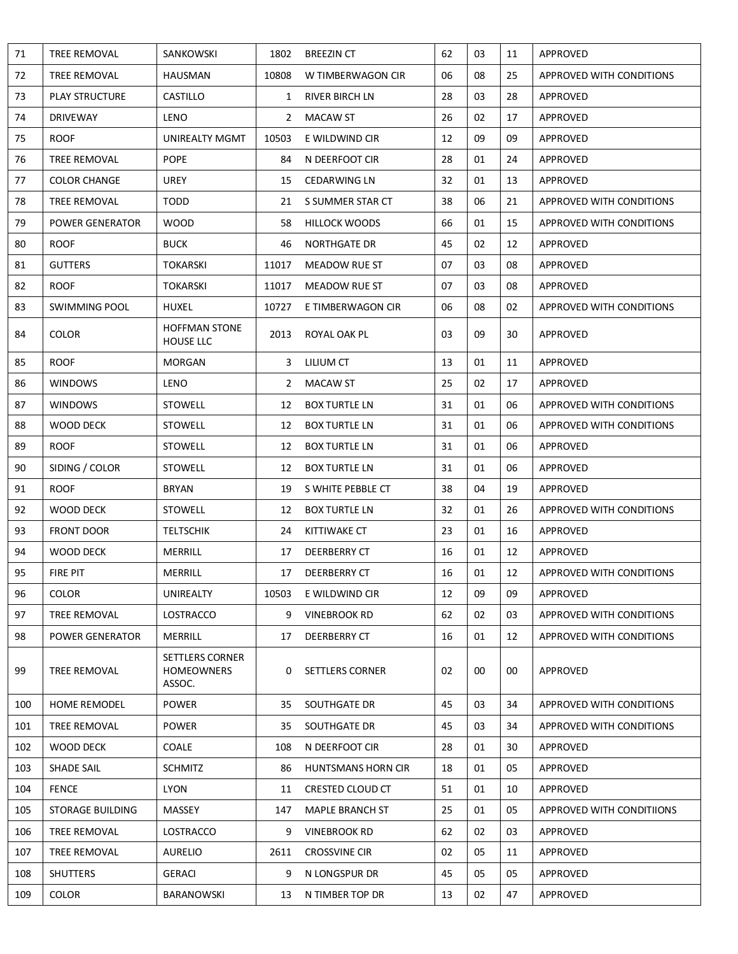| 71  | TREE REMOVAL            | SANKOWSKI                                             | 1802         | <b>BREEZIN CT</b>      | 62 | 03 | 11 | APPROVED                        |
|-----|-------------------------|-------------------------------------------------------|--------------|------------------------|----|----|----|---------------------------------|
| 72  | TREE REMOVAL            | <b>HAUSMAN</b>                                        | 10808        | W TIMBERWAGON CIR      | 06 | 08 | 25 | APPROVED WITH CONDITIONS        |
| 73  | <b>PLAY STRUCTURE</b>   | <b>CASTILLO</b>                                       | 1            | RIVER BIRCH LN         | 28 | 03 | 28 | APPROVED                        |
| 74  | <b>DRIVEWAY</b>         | <b>LENO</b>                                           | $\mathbf{2}$ | <b>MACAW ST</b>        | 26 | 02 | 17 | APPROVED                        |
| 75  | <b>ROOF</b>             | UNIREALTY MGMT                                        | 10503        | E WILDWIND CIR         | 12 | 09 | 09 | APPROVED                        |
| 76  | TREE REMOVAL            | <b>POPE</b>                                           | 84           | N DEERFOOT CIR         | 28 | 01 | 24 | APPROVED                        |
| 77  | <b>COLOR CHANGE</b>     | <b>UREY</b>                                           | 15           | <b>CEDARWING LN</b>    | 32 | 01 | 13 | APPROVED                        |
| 78  | <b>TREE REMOVAL</b>     | <b>TODD</b>                                           | 21           | S SUMMER STAR CT       | 38 | 06 | 21 | APPROVED WITH CONDITIONS        |
| 79  | <b>POWER GENERATOR</b>  | <b>WOOD</b>                                           | 58           | <b>HILLOCK WOODS</b>   | 66 | 01 | 15 | APPROVED WITH CONDITIONS        |
| 80  | ROOF                    | <b>BUCK</b>                                           | 46           | <b>NORTHGATE DR</b>    | 45 | 02 | 12 | APPROVED                        |
| 81  | <b>GUTTERS</b>          | <b>TOKARSKI</b>                                       | 11017        | MEADOW RUE ST          | 07 | 03 | 08 | APPROVED                        |
| 82  | ROOF                    | TOKARSKI                                              | 11017        | MEADOW RUE ST          | 07 | 03 | 08 | APPROVED                        |
| 83  | <b>SWIMMING POOL</b>    | <b>HUXEL</b>                                          | 10727        | E TIMBERWAGON CIR      | 06 | 08 | 02 | APPROVED WITH CONDITIONS        |
| 84  | <b>COLOR</b>            | <b>HOFFMAN STONE</b><br><b>HOUSE LLC</b>              | 2013         | ROYAL OAK PL           | 03 | 09 | 30 | APPROVED                        |
| 85  | <b>ROOF</b>             | <b>MORGAN</b>                                         |              | 3 LILIUM CT            | 13 | 01 | 11 | APPROVED                        |
| 86  | <b>WINDOWS</b>          | LENO                                                  | $\mathbf{2}$ | MACAW ST               | 25 | 02 | 17 | APPROVED                        |
| 87  | <b>WINDOWS</b>          | <b>STOWELL</b>                                        | 12           | <b>BOX TURTLE LN</b>   | 31 | 01 | 06 | APPROVED WITH CONDITIONS        |
| 88  | <b>WOOD DECK</b>        | <b>STOWELL</b>                                        | 12           | <b>BOX TURTLE LN</b>   | 31 | 01 | 06 | APPROVED WITH CONDITIONS        |
| 89  | <b>ROOF</b>             | <b>STOWELL</b>                                        | 12           | <b>BOX TURTLE LN</b>   | 31 | 01 | 06 | APPROVED                        |
| 90  | SIDING / COLOR          | <b>STOWELL</b>                                        | 12           | <b>BOX TURTLE LN</b>   | 31 | 01 | 06 | APPROVED                        |
| 91  | ROOF                    | <b>BRYAN</b>                                          | 19           | S WHITE PEBBLE CT      | 38 | 04 | 19 | APPROVED                        |
| 92  | WOOD DECK               | <b>STOWELL</b>                                        | 12           | <b>BOX TURTLE LN</b>   | 32 | 01 | 26 | APPROVED WITH CONDITIONS        |
| 93  | <b>FRONT DOOR</b>       | <b>TELTSCHIK</b>                                      | 24           | KITTIWAKE CT           | 23 | 01 | 16 | APPROVED                        |
| 94  | <b>WOOD DECK</b>        | MERRILL                                               | 17           | DEERBERRY CT           | 16 | 01 | 12 | APPROVED                        |
| 95  | FIRE PIT                | MERRILL                                               | 17           | DEERBERRY CT           | 16 | 01 | 12 | APPROVED WITH CONDITIONS        |
| 96  | <b>COLOR</b>            | <b>UNIREALTY</b>                                      | 10503        | E WILDWIND CIR         | 12 | 09 | 09 | APPROVED                        |
| 97  | TREE REMOVAL            | LOSTRACCO                                             | 9            | <b>VINEBROOK RD</b>    | 62 | 02 | 03 | <b>APPROVED WITH CONDITIONS</b> |
| 98  | POWER GENERATOR         | MERRILL                                               | 17           | DEERBERRY CT           | 16 | 01 | 12 | APPROVED WITH CONDITIONS        |
| 99  | <b>TREE REMOVAL</b>     | <b>SETTLERS CORNER</b><br><b>HOMEOWNERS</b><br>ASSOC. | 0            | <b>SETTLERS CORNER</b> | 02 | 00 | 00 | APPROVED                        |
| 100 | <b>HOME REMODEL</b>     | <b>POWER</b>                                          | 35           | SOUTHGATE DR           | 45 | 03 | 34 | <b>APPROVED WITH CONDITIONS</b> |
| 101 | TREE REMOVAL            | <b>POWER</b>                                          | 35           | SOUTHGATE DR           | 45 | 03 | 34 | <b>APPROVED WITH CONDITIONS</b> |
| 102 | WOOD DECK               | COALE                                                 | 108          | N DEERFOOT CIR         | 28 | 01 | 30 | APPROVED                        |
| 103 | SHADE SAIL              | <b>SCHMITZ</b>                                        | 86           | HUNTSMANS HORN CIR     | 18 | 01 | 05 | APPROVED                        |
| 104 | <b>FENCE</b>            | <b>LYON</b>                                           | 11           | CRESTED CLOUD CT       | 51 | 01 | 10 | APPROVED                        |
| 105 | <b>STORAGE BUILDING</b> | MASSEY                                                | 147          | MAPLE BRANCH ST        | 25 | 01 | 05 | APPROVED WITH CONDITIIONS       |
| 106 | TREE REMOVAL            | LOSTRACCO                                             | 9            | <b>VINEBROOK RD</b>    | 62 | 02 | 03 | APPROVED                        |
| 107 | TREE REMOVAL            | <b>AURELIO</b>                                        | 2611         | <b>CROSSVINE CIR</b>   | 02 | 05 | 11 | APPROVED                        |
| 108 | <b>SHUTTERS</b>         | <b>GERACI</b>                                         | 9            | N LONGSPUR DR          | 45 | 05 | 05 | APPROVED                        |
| 109 | <b>COLOR</b>            | <b>BARANOWSKI</b>                                     | 13           | N TIMBER TOP DR        | 13 | 02 | 47 | APPROVED                        |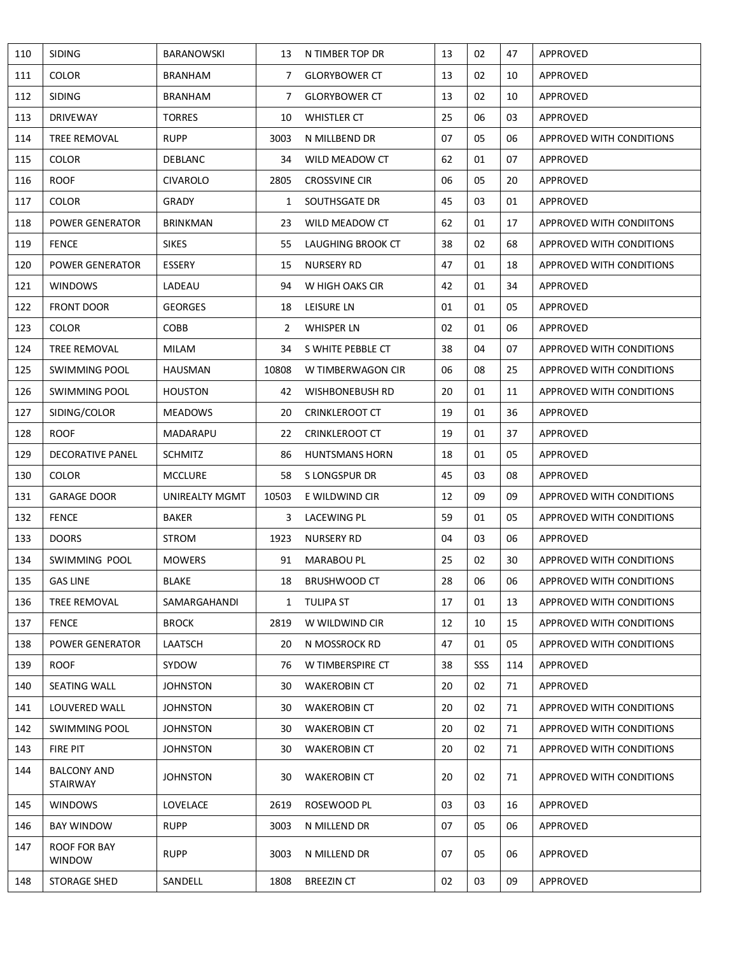| 110 | <b>SIDING</b>                         | <b>BARANOWSKI</b> |              | 13 N TIMBER TOP DR    | 13 | 02  | 47  | APPROVED                        |
|-----|---------------------------------------|-------------------|--------------|-----------------------|----|-----|-----|---------------------------------|
| 111 | <b>COLOR</b>                          | <b>BRANHAM</b>    | $7^{\circ}$  | <b>GLORYBOWER CT</b>  | 13 | 02  | 10  | APPROVED                        |
| 112 | <b>SIDING</b>                         | <b>BRANHAM</b>    | $7^{\circ}$  | <b>GLORYBOWER CT</b>  | 13 | 02  | 10  | APPROVED                        |
| 113 | <b>DRIVEWAY</b>                       | <b>TORRES</b>     | 10           | WHISTLER CT           | 25 | 06  | 03  | APPROVED                        |
| 114 | TREE REMOVAL                          | <b>RUPP</b>       | 3003         | N MILLBEND DR         | 07 | 05  | 06  | APPROVED WITH CONDITIONS        |
| 115 | <b>COLOR</b>                          | DEBLANC           | 34           | WILD MEADOW CT        | 62 | 01  | 07  | APPROVED                        |
| 116 | <b>ROOF</b>                           | <b>CIVAROLO</b>   | 2805         | <b>CROSSVINE CIR</b>  | 06 | 05  | 20  | APPROVED                        |
| 117 | <b>COLOR</b>                          | GRADY             | $\mathbf{1}$ | SOUTHSGATE DR         | 45 | 03  | 01  | APPROVED                        |
| 118 | POWER GENERATOR                       | <b>BRINKMAN</b>   | 23           | WILD MEADOW CT        | 62 | 01  | 17  | APPROVED WITH CONDIITONS        |
| 119 | <b>FENCE</b>                          | <b>SIKES</b>      | 55           | LAUGHING BROOK CT     | 38 | 02  | 68  | APPROVED WITH CONDITIONS        |
| 120 | POWER GENERATOR                       | ESSERY            | 15           | <b>NURSERY RD</b>     | 47 | 01  | 18  | APPROVED WITH CONDITIONS        |
| 121 | <b>WINDOWS</b>                        | LADEAU            | 94           | W HIGH OAKS CIR       | 42 | 01  | 34  | APPROVED                        |
| 122 | <b>FRONT DOOR</b>                     | <b>GEORGES</b>    | 18           | LEISURE LN            | 01 | 01  | 05  | APPROVED                        |
| 123 | <b>COLOR</b>                          | <b>COBB</b>       | 2            | <b>WHISPER LN</b>     | 02 | 01  | 06  | APPROVED                        |
| 124 | TREE REMOVAL                          | <b>MILAM</b>      | 34           | S WHITE PEBBLE CT     | 38 | 04  | 07  | APPROVED WITH CONDITIONS        |
| 125 | SWIMMING POOL                         | HAUSMAN           | 10808        | W TIMBERWAGON CIR     | 06 | 08  | 25  | APPROVED WITH CONDITIONS        |
| 126 | <b>SWIMMING POOL</b>                  | <b>HOUSTON</b>    | 42           | WISHBONEBUSH RD       | 20 | 01  | 11  | APPROVED WITH CONDITIONS        |
| 127 | SIDING/COLOR                          | <b>MEADOWS</b>    | 20           | <b>CRINKLEROOT CT</b> | 19 | 01  | 36  | APPROVED                        |
| 128 | <b>ROOF</b>                           | MADARAPU          | 22           | <b>CRINKLEROOT CT</b> | 19 | 01  | 37  | APPROVED                        |
| 129 | <b>DECORATIVE PANEL</b>               | <b>SCHMITZ</b>    | 86           | <b>HUNTSMANS HORN</b> | 18 | 01  | 05  | APPROVED                        |
| 130 | <b>COLOR</b>                          | <b>MCCLURE</b>    | 58           | S LONGSPUR DR         | 45 | 03  | 08  | APPROVED                        |
| 131 | <b>GARAGE DOOR</b>                    | UNIREALTY MGMT    | 10503        | E WILDWIND CIR        | 12 | 09  | 09  | APPROVED WITH CONDITIONS        |
| 132 | <b>FENCE</b>                          | <b>BAKER</b>      |              | 3 LACEWING PL         | 59 | 01  | 05  | APPROVED WITH CONDITIONS        |
| 133 | <b>DOORS</b>                          | STROM             | 1923         | <b>NURSERY RD</b>     | 04 | 03  | 06  | APPROVED                        |
| 134 | SWIMMING POOL                         | <b>MOWERS</b>     | 91           | <b>MARABOU PL</b>     | 25 | 02  | 30  | APPROVED WITH CONDITIONS        |
| 135 | <b>GAS LINE</b>                       | <b>BLAKE</b>      | 18           | <b>BRUSHWOOD CT</b>   | 28 | 06  | 06  | <b>APPROVED WITH CONDITIONS</b> |
| 136 | TREE REMOVAL                          | SAMARGAHANDI      |              | 1 TULIPA ST           | 17 | 01  | 13  | APPROVED WITH CONDITIONS        |
| 137 | <b>FENCE</b>                          | <b>BROCK</b>      | 2819         | W WILDWIND CIR        | 12 | 10  | 15  | APPROVED WITH CONDITIONS        |
| 138 | <b>POWER GENERATOR</b>                | LAATSCH           | 20           | N MOSSROCK RD         | 47 | 01  | 05  | APPROVED WITH CONDITIONS        |
| 139 | ROOF                                  | <b>SYDOW</b>      | 76           | W TIMBERSPIRE CT      | 38 | SSS | 114 | APPROVED                        |
| 140 | SEATING WALL                          | <b>JOHNSTON</b>   | 30           | <b>WAKEROBIN CT</b>   | 20 | 02  | 71  | APPROVED                        |
| 141 | LOUVERED WALL                         | <b>JOHNSTON</b>   | 30           | <b>WAKEROBIN CT</b>   | 20 | 02  | 71  | APPROVED WITH CONDITIONS        |
| 142 | SWIMMING POOL                         | <b>JOHNSTON</b>   | 30           | <b>WAKEROBIN CT</b>   | 20 | 02  | 71  | APPROVED WITH CONDITIONS        |
| 143 | FIRE PIT                              | <b>JOHNSTON</b>   | 30           | <b>WAKEROBIN CT</b>   | 20 | 02  | 71  | APPROVED WITH CONDITIONS        |
| 144 | <b>BALCONY AND</b><br><b>STAIRWAY</b> | JOHNSTON          | 30           | <b>WAKEROBIN CT</b>   | 20 | 02  | 71  | APPROVED WITH CONDITIONS        |
| 145 | <b>WINDOWS</b>                        | LOVELACE          | 2619         | ROSEWOOD PL           | 03 | 03  | 16  | APPROVED                        |
| 146 | BAY WINDOW                            | <b>RUPP</b>       | 3003         | N MILLEND DR          | 07 | 05  | 06  | APPROVED                        |
| 147 | ROOF FOR BAY<br><b>WINDOW</b>         | <b>RUPP</b>       | 3003         | N MILLEND DR          | 07 | 05  | 06  | APPROVED                        |
| 148 | STORAGE SHED                          | SANDELL           | 1808         | <b>BREEZIN CT</b>     | 02 | 03  | 09  | APPROVED                        |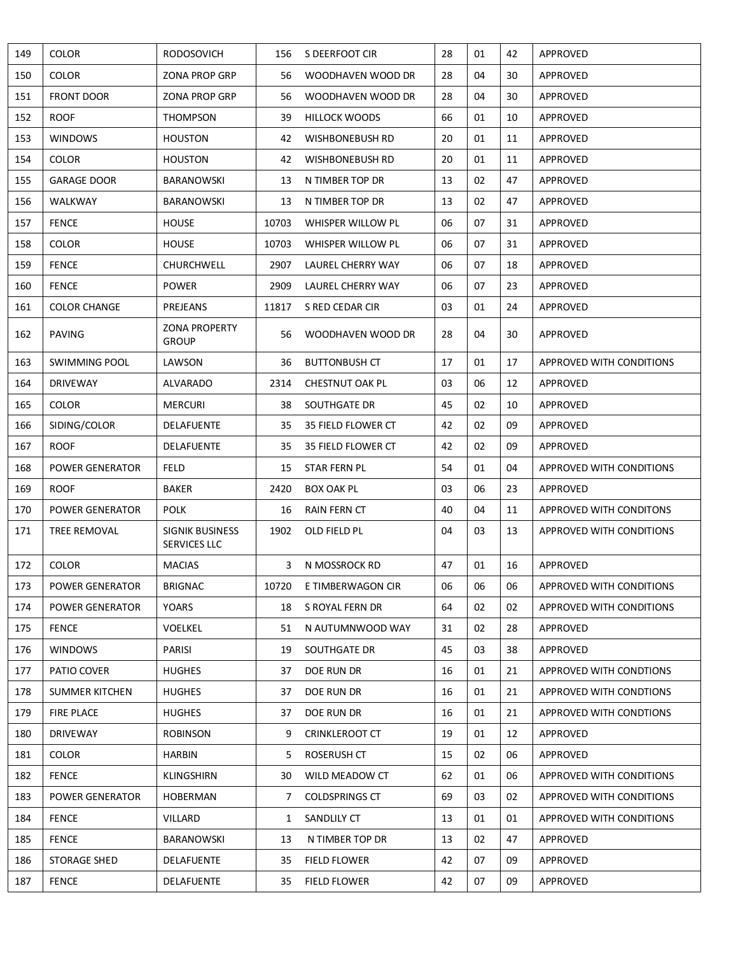| 149 | <b>COLOR</b>           | <b>RODOSOVICH</b>                      |              | 156 S DEERFOOT CIR      | 28 | 01 | 42 | APPROVED                        |
|-----|------------------------|----------------------------------------|--------------|-------------------------|----|----|----|---------------------------------|
| 150 | <b>COLOR</b>           | <b>ZONA PROP GRP</b>                   | 56           | WOODHAVEN WOOD DR       | 28 | 04 | 30 | APPROVED                        |
| 151 | <b>FRONT DOOR</b>      | <b>ZONA PROP GRP</b>                   | 56           | WOODHAVEN WOOD DR       | 28 | 04 | 30 | APPROVED                        |
| 152 | <b>ROOF</b>            | <b>THOMPSON</b>                        | 39           | <b>HILLOCK WOODS</b>    | 66 | 01 | 10 | APPROVED                        |
| 153 | <b>WINDOWS</b>         | <b>HOUSTON</b>                         | 42           | WISHBONEBUSH RD         | 20 | 01 | 11 | APPROVED                        |
| 154 | <b>COLOR</b>           | <b>HOUSTON</b>                         | 42           | WISHBONEBUSH RD         | 20 | 01 | 11 | APPROVED                        |
| 155 | <b>GARAGE DOOR</b>     | <b>BARANOWSKI</b>                      | 13           | N TIMBER TOP DR         | 13 | 02 | 47 | APPROVED                        |
| 156 | WALKWAY                | <b>BARANOWSKI</b>                      | 13           | N TIMBER TOP DR         | 13 | 02 | 47 | APPROVED                        |
| 157 | <b>FENCE</b>           | <b>HOUSE</b>                           | 10703        | WHISPER WILLOW PL       | 06 | 07 | 31 | APPROVED                        |
| 158 | <b>COLOR</b>           | <b>HOUSE</b>                           | 10703        | WHISPER WILLOW PL       | 06 | 07 | 31 | APPROVED                        |
| 159 | <b>FENCE</b>           | CHURCHWELL                             | 2907         | LAUREL CHERRY WAY       | 06 | 07 | 18 | APPROVED                        |
| 160 | <b>FENCE</b>           | <b>POWER</b>                           | 2909         | LAUREL CHERRY WAY       | 06 | 07 | 23 | APPROVED                        |
| 161 | <b>COLOR CHANGE</b>    | PREJEANS                               | 11817        | S RED CEDAR CIR         | 03 | 01 | 24 | APPROVED                        |
| 162 | <b>PAVING</b>          | <b>ZONA PROPERTY</b><br><b>GROUP</b>   | 56           | WOODHAVEN WOOD DR       | 28 | 04 | 30 | APPROVED                        |
| 163 | <b>SWIMMING POOL</b>   | LAWSON                                 | 36           | <b>BUTTONBUSH CT</b>    | 17 | 01 | 17 | APPROVED WITH CONDITIONS        |
| 164 | <b>DRIVEWAY</b>        | <b>ALVARADO</b>                        | 2314         | <b>CHESTNUT OAK PL</b>  | 03 | 06 | 12 | APPROVED                        |
| 165 | <b>COLOR</b>           | <b>MERCURI</b>                         | 38           | SOUTHGATE DR            | 45 | 02 | 10 | APPROVED                        |
| 166 | SIDING/COLOR           | <b>DELAFUENTE</b>                      | 35           | 35 FIELD FLOWER CT      | 42 | 02 | 09 | APPROVED                        |
| 167 | <b>ROOF</b>            | <b>DELAFUENTE</b>                      | 35           | 35 FIELD FLOWER CT      | 42 | 02 | 09 | APPROVED                        |
| 168 | <b>POWER GENERATOR</b> | <b>FELD</b>                            | 15           | STAR FERN PL            | 54 | 01 | 04 | APPROVED WITH CONDITIONS        |
| 169 | <b>ROOF</b>            | <b>BAKER</b>                           | 2420         | <b>BOX OAK PL</b>       | 03 | 06 | 23 | APPROVED                        |
| 170 | <b>POWER GENERATOR</b> | <b>POLK</b>                            | 16           | RAIN FERN CT            | 40 | 04 | 11 | APPROVED WITH CONDITONS         |
| 171 | <b>TREE REMOVAL</b>    | <b>SIGNIK BUSINESS</b><br>SERVICES LLC | 1902         | OLD FIELD PL            | 04 | 03 | 13 | <b>APPROVED WITH CONDITIONS</b> |
| 172 | <b>COLOR</b>           | <b>MACIAS</b>                          |              | 3 N MOSSROCK RD         | 47 | 01 | 16 | APPROVED                        |
| 173 | POWER GENERATOR        | <b>BRIGNAC</b>                         |              | 10720 E TIMBERWAGON CIR | 06 | 06 | 06 | APPROVED WITH CONDITIONS        |
| 174 | <b>POWER GENERATOR</b> | <b>YOARS</b>                           | 18           | S ROYAL FERN DR         | 64 | 02 | 02 | APPROVED WITH CONDITIONS        |
| 175 | <b>FENCE</b>           | <b>VOELKEL</b>                         | 51           | N AUTUMNWOOD WAY        | 31 | 02 | 28 | APPROVED                        |
| 176 | <b>WINDOWS</b>         | PARISI                                 | 19           | SOUTHGATE DR            | 45 | 03 | 38 | APPROVED                        |
| 177 | PATIO COVER            | <b>HUGHES</b>                          | 37           | DOE RUN DR              | 16 | 01 | 21 | APPROVED WITH CONDTIONS         |
| 178 | <b>SUMMER KITCHEN</b>  | <b>HUGHES</b>                          | 37           | DOE RUN DR              | 16 | 01 | 21 | APPROVED WITH CONDTIONS         |
| 179 | <b>FIRE PLACE</b>      | <b>HUGHES</b>                          | 37           | DOE RUN DR              | 16 | 01 | 21 | APPROVED WITH CONDTIONS         |
| 180 | DRIVEWAY               | <b>ROBINSON</b>                        | 9            | <b>CRINKLEROOT CT</b>   | 19 | 01 | 12 | APPROVED                        |
| 181 | <b>COLOR</b>           | <b>HARBIN</b>                          | 5.           | ROSERUSH CT             | 15 | 02 | 06 | APPROVED                        |
| 182 | <b>FENCE</b>           | <b>KLINGSHIRN</b>                      | 30           | WILD MEADOW CT          | 62 | 01 | 06 | APPROVED WITH CONDITIONS        |
| 183 | POWER GENERATOR        | <b>HOBERMAN</b>                        | 7            | <b>COLDSPRINGS CT</b>   | 69 | 03 | 02 | APPROVED WITH CONDITIONS        |
| 184 | <b>FENCE</b>           | VILLARD                                | $\mathbf{1}$ | SANDLILY CT             | 13 | 01 | 01 | APPROVED WITH CONDITIONS        |
| 185 | <b>FENCE</b>           | BARANOWSKI                             | 13           | N TIMBER TOP DR         | 13 | 02 | 47 | APPROVED                        |
| 186 | STORAGE SHED           | <b>DELAFUENTE</b>                      | 35           | <b>FIELD FLOWER</b>     | 42 | 07 | 09 | APPROVED                        |
| 187 | <b>FENCE</b>           | DELAFUENTE                             | 35           | <b>FIELD FLOWER</b>     | 42 | 07 | 09 | APPROVED                        |